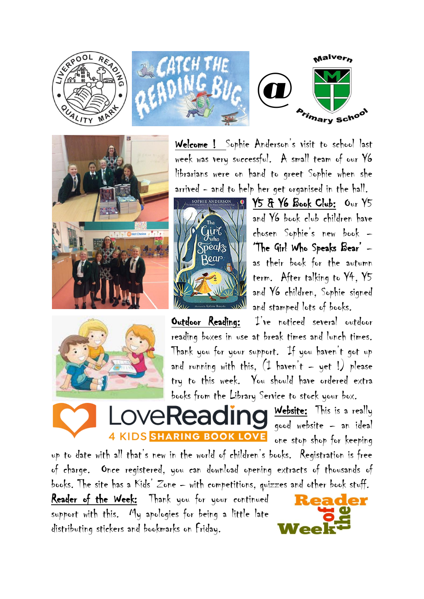







Welcome ! Sophie Anderson's visit to school last week was very successful. A small team of our Y6 librarians were on hand to greet Sophie when she arrived - and to help her get organised in the hall.



SOPHIE ANDERSON 10 Y5 & Y6 Book Club: Our Y5 and Y6 book club children have chosen Sophie's new book – 'The Girl Who Speaks Bear' – as their book for the autumn term. After talking to Y4, Y5 and Y6 children, Sophie signed and stamped lots of books.



Outdoor Reading: I've noticed several outdoor reading boxes in use at break times and lunch times. Thank you for your support. If you haven't got up and running with this,  $(1 + h)$  haven't - yet !) please try to this week. You should have ordered extra books from the Library Service to stock your box.

**4 KIDS SHARING BOOK LOVE** 

Website: This is a really good website – an ideal one stop shop for keeping

up to date with all that's new in the world of children's books. Registration is free of charge. Once registered, you can download opening extracts of thousands of books. The site has a Kids' Zone – with competitions, quizzes and other book stuff.

Reader of the Week: Thank you for your continued support with this. My apologies for being a little late distributing stickers and bookmarks on Friday.